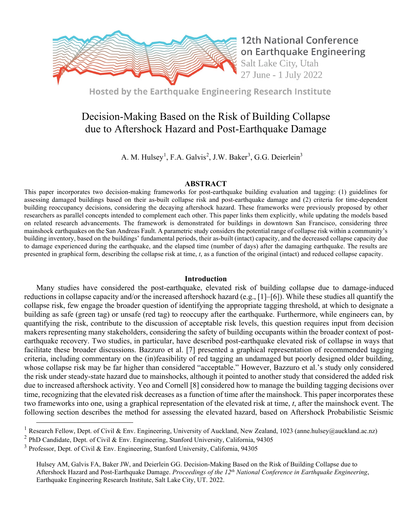

Hosted by the Earthquake Engineering Research Institute

# Decision-Making Based on the Risk of Building Collapse due to Aftershock Hazard and Post-Earthquake Damage

A. M. Hulsey<sup>[1](#page-0-0)</sup>, F.A. Galvis<sup>[2](#page-0-1)</sup>, J.W. Baker<sup>[3](#page-0-2)</sup>, G.G. Deierlein<sup>3</sup>

## **ABSTRACT**

This paper incorporates two decision-making frameworks for post-earthquake building evaluation and tagging: (1) guidelines for assessing damaged buildings based on their as-built collapse risk and post-earthquake damage and (2) criteria for time-dependent building reoccupancy decisions, considering the decaying aftershock hazard. These frameworks were previously proposed by other researchers as parallel concepts intended to complement each other. This paper links them explicitly, while updating the models based on related research advancements. The framework is demonstrated for buildings in downtown San Francisco, considering three mainshock earthquakes on the San Andreas Fault. A parametric study considers the potential range of collapse risk within a community's building inventory, based on the buildings' fundamental periods, their as-built (intact) capacity, and the decreased collapse capacity due to damage experienced during the earthquake, and the elapsed time (number of days) after the damaging earthquake. The results are presented in graphical form, describing the collapse risk at time, *t*, as a function of the original (intact) and reduced collapse capacity.

### **Introduction**

Many studies have considered the post-earthquake, elevated risk of building collapse due to damage-induced reductions in collapse capacity and/or the increased aftershock hazard (e.g., [1]–[6]). While these studies all quantify the collapse risk, few engage the broader question of identifying the appropriate tagging threshold, at which to designate a building as safe (green tag) or unsafe (red tag) to reoccupy after the earthquake. Furthermore, while engineers can, by quantifying the risk, contribute to the discussion of acceptable risk levels, this question requires input from decision makers representing many stakeholders, considering the safety of building occupants within the broader context of postearthquake recovery. Two studies, in particular, have described post-earthquake elevated risk of collapse in ways that facilitate these broader discussions. Bazzuro et al. [7] presented a graphical representation of recommended tagging criteria, including commentary on the (in)feasibility of red tagging an undamaged but poorly designed older building, whose collapse risk may be far higher than considered "acceptable." However, Bazzuro et al.'s study only considered the risk under steady-state hazard due to mainshocks, although it pointed to another study that considered the added risk due to increased aftershock activity. Yeo and Cornell [8] considered how to manage the building tagging decisions over time, recognizing that the elevated risk decreases as a function of time after the mainshock. This paper incorporates these two frameworks into one, using a graphical representation of the elevated risk at time, *t*, after the mainshock event. The following section describes the method for assessing the elevated hazard, based on Aftershock Probabilistic Seismic

<span id="page-0-0"></span><sup>&</sup>lt;sup>1</sup> Research Fellow, Dept. of Civil & Env. Engineering, University of Auckland, New Zealand, 1023 (anne.hulsey@auckland.ac.nz)

<span id="page-0-1"></span><sup>2</sup> PhD Candidate, Dept. of Civil & Env. Engineering, Stanford University, California, 94305

<span id="page-0-2"></span><sup>3</sup> Professor, Dept. of Civil & Env. Engineering, Stanford University, California, 94305

Hulsey AM, Galvis FA, Baker JW, and Deierlein GG. Decision-Making Based on the Risk of Building Collapse due to Aftershock Hazard and Post-Earthquake Damage. *Proceedings of the 12th National Conference in Earthquake Engineering*, Earthquake Engineering Research Institute, Salt Lake City, UT. 2022.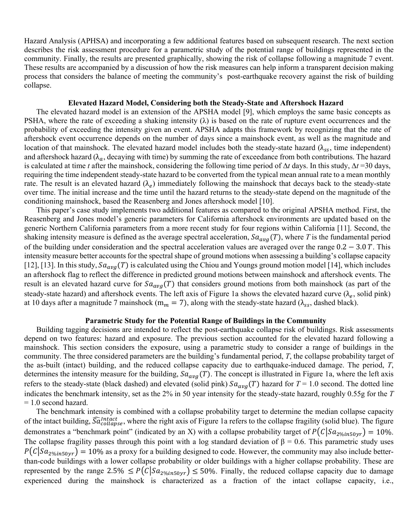Hazard Analysis (APHSA) and incorporating a few additional features based on subsequent research. The next section describes the risk assessment procedure for a parametric study of the potential range of buildings represented in the community. Finally, the results are presented graphically, showing the risk of collapse following a magnitude 7 event. These results are accompanied by a discussion of how the risk measures can help inform a transparent decision making process that considers the balance of meeting the community's post-earthquake recovery against the risk of building collapse.

## **Elevated Hazard Model, Considering both the Steady-State and Aftershock Hazard**

The elevated hazard model is an extension of the APSHA model [9], which employs the same basic concepts as PSHA, where the rate of exceeding a shaking intensity  $(\lambda)$  is based on the rate of rupture event occurrences and the probability of exceeding the intensity given an event. APSHA adapts this framework by recognizing that the rate of aftershock event occurrence depends on the number of days since a mainshock event, as well as the magnitude and location of that mainshock. The elevated hazard model includes both the steady-state hazard ( $\lambda_{\rm ss}$ , time independent) and aftershock hazard ( $\lambda_a$ , decaying with time) by summing the rate of exceedance from both contributions. The hazard is calculated at time *t* after the mainshock, considering the following time period of ∆*t* days. In this study, ∆*t* =30 days, requiring the time independent steady-state hazard to be converted from the typical mean annual rate to a mean monthly rate. The result is an elevated hazard  $(\lambda_e)$  immediately following the mainshock that decays back to the steady-state over time. The initial increase and the time until the hazard returns to the steady-state depend on the magnitude of the conditioning mainshock, based the Reasenberg and Jones aftershock model [10].

This paper's case study implements two additional features as compared to the original APSHA method. First, the Reasenberg and Jones model's generic parameters for California aftershock environments are updated based on the generic Northern California parameters from a more recent study for four regions within California [11]. Second, the shaking intensity measure is defined as the average spectral acceleration,  $Sa_{avg}(T)$ , where T is the fundamental period of the building under consideration and the spectral acceleration values are averaged over the range  $0.2 - 3.0 T$ . This intensity measure better accounts for the spectral shape of ground motions when assessing a building's collapse capacity [12], [13]. In this study,  $Sa_{avg}(T)$  is calculated using the Chiou and Youngs ground motion model [14], which includes an aftershock flag to reflect the difference in predicted ground motions between mainshock and aftershock events. The result is an elevated hazard curve for  $Sa_{avg}(T)$  that considers ground motions from both mainshock (as part of the steady-state hazard) and aftershock events. The left axis of [Figure 1a](#page-2-0) shows the elevated hazard curve ( $\lambda_e$ , solid pink) at 10 days after a magnitude 7 mainshock (m<sub>m</sub> = 7), along with the steady-state hazard ( $\lambda_{ss}$ , dashed black).

#### **Parametric Study for the Potential Range of Buildings in the Community**

Building tagging decisions are intended to reflect the post-earthquake collapse risk of buildings. Risk assessments depend on two features: hazard and exposure. The previous section accounted for the elevated hazard following a mainshock. This section considers the exposure, using a parametric study to consider a range of buildings in the community. The three considered parameters are the building's fundamental period, *T*, the collapse probability target of the as-built (intact) building, and the reduced collapse capacity due to earthquake-induced damage. The period, *T*, determines the intensity measure for the building,  $Sa_{avg}(T)$ . The concept is illustrated in [Figure 1a](#page-2-0), where the left axis refers to the steady-state (black dashed) and elevated (solid pink)  $Sa_{avg}(T)$  hazard for  $T = 1.0$  second. The dotted line indicates the benchmark intensity, set as the 2% in 50 year intensity for the steady-state hazard, roughly 0.55g for the *T* = 1.0 second hazard.

The benchmark intensity is combined with a collapse probability target to determine the median collapse capacity of the intact building,  $\tilde{S} \tilde{a}_{collapse}^{inter}$ , where the right axis of [Figure 1a](#page-2-0) refers to the collapse fragility (solid blue). The figure demonstrates a "benchmark point" (indicated by an X) with a collapse probability target of  $P(C|Sa_{2\%in50yr}) = 10\%$ . The collapse fragility passes through this point with a log standard deviation of  $\beta = 0.6$ . This parametric study uses  $P(C|Sa_{2\%in50yr}) = 10\%$  as a proxy for a building designed to code. However, the community may also include betterthan-code buildings with a lower collapse probability or older buildings with a higher collapse probability. These are represented by the range 2.5%  $\leq P(C|Sa_{2\%in50yr}) \leq 50\%$ . Finally, the reduced collapse capacity due to damage experienced during the mainshock is characterized as a fraction of the intact collapse capacity, i.e.,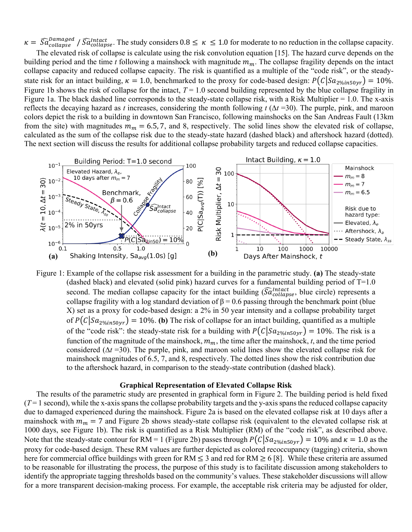$\kappa = \widehat{S}a_{collapse}^{Damaged}$  /  $\widehat{S}a_{collapse}^{Intact}$ . The study considers  $0.8 \leq \kappa \leq 1.0$  for moderate to no reduction in the collapse capacity.

The elevated risk of collapse is calculate using the risk convolution equation [15]. The hazard curve depends on the building period and the time  $t$  following a mainshock with magnitude  $m_m$ . The collapse fragility depends on the intact collapse capacity and reduced collapse capacity. The risk is quantified as a multiple of the "code risk", or the steadystate risk for an intact building,  $\kappa = 1.0$ , benchmarked to the proxy for code-based design:  $P(C|Sa_{2\%in50vr}) = 10\%$ . [Figure 1b](#page-2-0) shows the risk of collapse for the intact,  $T = 1.0$  second building represented by the blue collapse fragility in [Figure 1a](#page-2-0). The black dashed line corresponds to the steady-state collapse risk, with a Risk Multiplier  $= 1.0$ . The x-axis reflects the decaying hazard as *t* increases, considering the month following  $t(\Delta t = 30)$ . The purple, pink, and maroon colors depict the risk to a building in downtown San Francisco, following mainshocks on the San Andreas Fault (13km from the site) with magnitudes  $m_m = 6.5, 7$ , and 8, respectively. The solid lines show the elevated risk of collapse, calculated as the sum of the collapse risk due to the steady-state hazard (dashed black) and aftershock hazard (dotted). The next section will discuss the results for additional collapse probability targets and reduced collapse capacities.



<span id="page-2-0"></span>Figure 1: Example of the collapse risk assessment for a building in the parametric study. **(a)** The steady-state (dashed black) and elevated (solid pink) hazard curves for a fundamental building period of  $T=1.0$ second. The median collapse capacity for the intact building  $(\overline{S}a_{collapse}^{Intact})$ , blue circle) represents a collapse fragility with a log standard deviation of  $\beta = 0.6$  passing through the benchmark point (blue X) set as a proxy for code-based design: a 2% in 50 year intensity and a collapse probability target of  $P(C|Sa_{2\%in50yr}) = 10\%$ . (b) The risk of collapse for an intact building, quantified as a multiple of the "code risk": the steady-state risk for a building with  $P(C|Sa_{2\%in50yr}) = 10\%$ . The risk is a function of the magnitude of the mainshock,  $m_m$ , the time after the mainshock, *t*, and the time period considered ( $\Delta t$  =30). The purple, pink, and maroon solid lines show the elevated collapse risk for mainshock magnitudes of 6.5, 7, and 8, respectively. The dotted lines show the risk contribution due to the aftershock hazard, in comparison to the steady-state contribution (dashed black).

#### **Graphical Representation of Elevated Collapse Risk**

The results of the parametric study are presented in graphical form in Figure 2. The building period is held fixed  $(T=1 \text{ second})$ , while the x-axis spans the collapse probability targets and the y-axis spans the reduced collapse capacity due to damaged experienced during the mainshock. [Figure 2a](#page-3-0) is based on the elevated collapse risk at 10 days after a mainshock with  $m_m = 7$  and Figure 2b shows steady-state collapse risk (equivalent to the elevated collapse risk at 1000 days, see [Figure 1b](#page-2-0)). The risk is quantified as a Risk Multiplier (RM) of the "code risk", as described above. Note that the steady-state contour for RM = 1 [\(Figure 2b](#page-3-0)) passes through  $P(C|Sa_{2\%in50vr}) = 10\%$  and  $\kappa = 1.0$  as the proxy for code-based design. These RM values are further depicted as colored recoccupancy (tagging) criteria, shown here for commercial office buildings with green for RM  $\leq$  3 and red for RM  $\geq$  6 [8]. While these criteria are assumed to be reasonable for illustrating the process, the purpose of this study is to facilitate discussion among stakeholders to identify the appropriate tagging thresholds based on the community's values. These stakeholder discussions will allow for a more transparent decision-making process. For example, the acceptable risk criteria may be adjusted for older,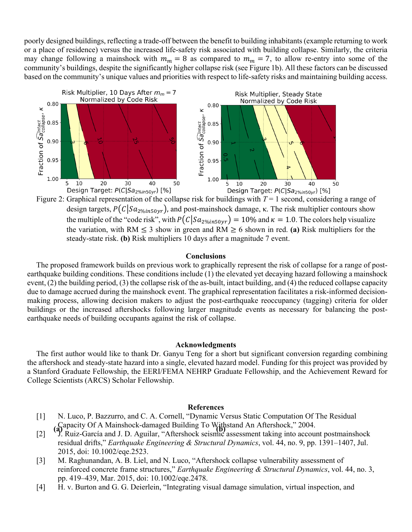poorly designed buildings, reflecting a trade-off between the benefit to building inhabitants (example returning to work or a place of residence) versus the increased life-safety risk associated with building collapse. Similarly, the criteria may change following a mainshock with  $m_m = 8$  as compared to  $m_m = 7$ , to allow re-entry into some of the community's buildings, despite the significantly higher collapse risk (se[e Figure 1b](#page-2-0)). All these factors can be discussed based on the community's unique values and priorities with respect to life-safety risks and maintaining building access.



<span id="page-3-0"></span> Figure 2: Graphical representation of the collapse risk for buildings with *<sup>T</sup>* = 1 second, considering a range of design targets,  $P(C|Sa_{2\%in50yr})$ , and post-mainshock damage, κ. The risk multiplier contours show the multiple of the "code risk", with  $P(C|Sa_{2\%in50yr}) = 10\%$  and  $\kappa = 1.0$ . The colors help visualize the variation, with RM  $\leq$  3 show in green and RM  $\geq$  6 shown in red. (a) Risk multipliers for the steady-state risk. **(b)** Risk multipliers 10 days after a magnitude 7 event.

## **Conclusions**

The proposed framework builds on previous work to graphically represent the risk of collapse for a range of postearthquake building conditions. These conditions include (1) the elevated yet decaying hazard following a mainshock event, (2) the building period, (3) the collapse risk of the as-built, intact building, and (4) the reduced collapse capacity due to damage accrued during the mainshock event. The graphical representation facilitates a risk-informed decisionmaking process, allowing decision makers to adjust the post-earthquake reoccupancy (tagging) criteria for older buildings or the increased aftershocks following larger magnitude events as necessary for balancing the postearthquake needs of building occupants against the risk of collapse.

#### **Acknowledgments**

The first author would like to thank Dr. Ganyu Teng for a short but significant conversion regarding combining the aftershock and steady-state hazard into a single, elevated hazard model. Funding for this project was provided by a Stanford Graduate Fellowship, the EERI/FEMA NEHRP Graduate Fellowship, and the Achievement Reward for College Scientists (ARCS) Scholar Fellowship.

#### **References**

- [1] N. Luco, P. Bazzurro, and C. A. Cornell, "Dynamic Versus Static Computation Of The Residual Capacity Of A Mainshock-damaged Building To Withstand An Aftershock," 2004.
- (a)  $\alpha$  apacity Of A mainshock-dailing and Building 10  $\gamma$  and  $\alpha$  and All Aftershock, 2004. residual drifts," *Earthquake Engineering & Structural Dynamics*, vol. 44, no. 9, pp. 1391–1407, Jul. 2015, doi: 10.1002/eqe.2523.
- [3] M. Raghunandan, A. B. Liel, and N. Luco, "Aftershock collapse vulnerability assessment of reinforced concrete frame structures," *Earthquake Engineering & Structural Dynamics*, vol. 44, no. 3, pp. 419–439, Mar. 2015, doi: 10.1002/eqe.2478.
- [4] H. v. Burton and G. G. Deierlein, "Integrating visual damage simulation, virtual inspection, and